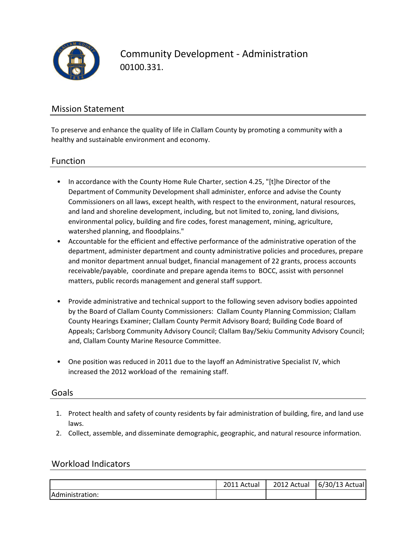

Community Development - Administration 00100.331.

## Mission Statement

To preserve and enhance the quality of life in Clallam County by promoting a community with a healthy and sustainable environment and economy.

#### Function

- In accordance with the County Home Rule Charter, section 4.25, "[t]he Director of the Department of Community Development shall administer, enforce and advise the County Commissioners on all laws, except health, with respect to the environment, natural resources, and land and shoreline development, including, but not limited to, zoning, land divisions, environmental policy, building and fire codes, forest management, mining, agriculture, watershed planning, and floodplains."
- Accountable for the efficient and effective performance of the administrative operation of the department, administer department and county administrative policies and procedures, prepare and monitor department annual budget, financial management of 22 grants, process accounts receivable/payable, coordinate and prepare agenda items to BOCC, assist with personnel matters, public records management and general staff support.
- Provide administrative and technical support to the following seven advisory bodies appointed by the Board of Clallam County Commissioners: Clallam County Planning Commission; Clallam County Hearings Examiner; Clallam County Permit Advisory Board; Building Code Board of Appeals; Carlsborg Community Advisory Council; Clallam Bay/Sekiu Community Advisory Council; and, Clallam County Marine Resource Committee.
- One position was reduced in 2011 due to the layoff an Administrative Specialist IV, which increased the 2012 workload of the remaining staff.

### Goals

- 1. Protect health and safety of county residents by fair administration of building, fire, and land use laws.
- 2. Collect, assemble, and disseminate demographic, geographic, and natural resource information.

#### Workload Indicators

|                  | 201.<br>2011 Actual | 2012 Actual | 6/30/13 Actual |
|------------------|---------------------|-------------|----------------|
| IAdministration: |                     |             |                |